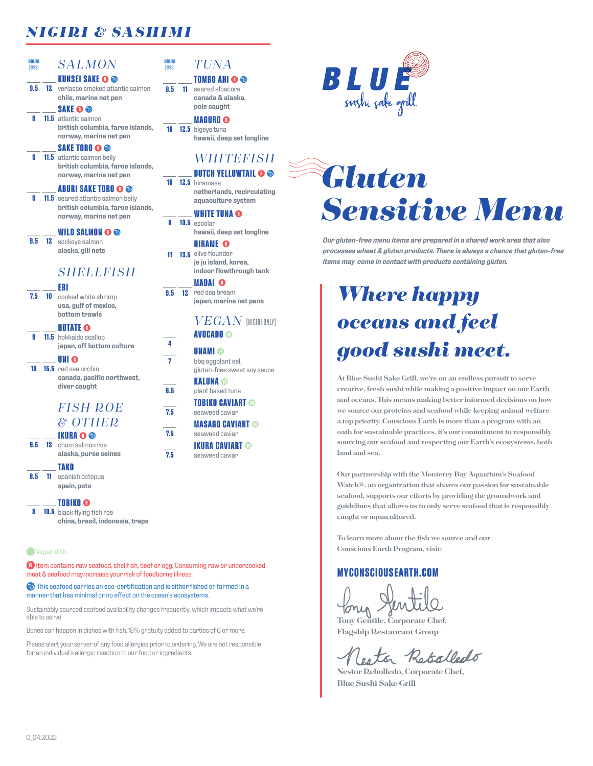## *NIGIRI & SASHIMI*

### **NIGIRI**  $SALMON$

### **9.5 12** verlasso smoked atlantic salmon **KUNSEI SAKE OO chile, marine net pen**

**9 11.5** atlantic salmon **SAKE british columbia, faroe islands, norway, marine net pen**

## **SAKE TORO**

**9 11.5** atlantic salmon belly **british columbia, faroe islands, norway, marine net pen**

## **ABURI SAKE TORO**

**9 11.5** seared atlantic salmon belly **british columbia, faroe islands, norway, marine net pen**

### **WILD SALMON**

**9.5 12** sockeye salmon **alaska, gill nets**

## *SHELLFISH*

### **EBI**

**7.5 10** cooked white shrimp **usa, gulf of mexico, bottom trawls**

## **HOTATE**

**9 11.5** hokkaido scallop **japan, off bottom culture**

**13 15.5** red sea urchin **INI canada, pacific northwest, diver caught**

## *F I S H R OE & OTHER*

## **IKURA**

**9.5 12** chum salmon roe **alaska, purse seines**

- **TAKO**
- **8.5 11** spanish octopus **spain, pots**

## **TOBIKO**

**8 10.5** black flying fish roe **china, brasil, indonesia, traps**

### **Wegan dish.**

**R** Item contains raw seafood, shellfish, beef or egg. Consuming raw or undercooked meat & seafood may increase your risk of foodborne illness.

 $\bigcirc$  This seafood carries an eco-certification and is either fished or farmed in a manner that has minimal or no effect on the ocean's ecosystems.

Sustainably sourced seafood availability changes frequently, which impacts what we're able to serve.

Bones can happen in dishes with fish. 18% gratuity added to parties of 6 or more.

Please alert your server of any food allergies prior to ordering. We are not responsible for an individual's allergic reaction to our food or ingredients.

## $TUNA$

**NIGIRI**

**8.5 11**

### **TOMBO AHI OO** 11 seared albacore **canada & alaska, pole caught**

**10 12.5** bigeye tuna **MAGURO hawaii, deep set longline**

## *WHITEFISH*

**10 12.5** hiramasa **DUTCH YELLOWTAIL <sup>O</sup> netherlands, recirculating aquaculture system**

## **WHITE TUNA**

**8 10.5** escolar **hawaii, deep set longline**

### **11 13.5** olive flounder **HIRAME je ju island, korea, indoor flowthrough tank**

**9.5 12** red sea bream **MADAI japan, marine net pens**

## $VEGAN$  (NIGIRI ONLY) **AVOCADO**

**4**

**7**

**6.5**

**7.5**

**7.5**

**7.5**

**UNAMI ®** bbq eggplant eel, gluten-free sweet soy sauce

**KALUNA** plant based tuna

**TOBIKO CAVIART** seaweed caviar

## **MASAGO CAVIART**

- seaweed caviar **IKURA CAVIART**
- seaweed caviar

# *Gluten Sensitive Menu*

**BLUE** 

*Our gluten-free menu items are prepared in a shared work area that also processes wheat & gluten products. There is always a chance that gluten-free items may come in contact with products containing gluten.*

## *Where happy oceans and feel good sushi meet.*

**At Blue Sushi Sake Grill, we're on an endless pursuit to serve creative, fresh sushi while making a positive impact on our Earth and oceans. This means making better informed decisions on how we source our proteins and seafood while keeping animal welfare a top priority. Conscious Earth is more than a program with an oath for sustainable practices, it's our commitment to responsibly sourcing our seafood and respecting our Earth's ecosystems, both land and sea.**

**Our partnership with the Monterey Bay Aquarium's Seafood Watch®, an organization that shares our passion for sustainable seafood, supports our efforts by providing the groundwork and guidelines that allows us to only serve seafood that is responsibly caught or aquacultured.** 

**To learn more about the fish we source and our Conscious Earth Program, visit:**

## **MYCONSCIOUSEARTH.COM**

**Tony Gentile, Corporate Chef, Flagship Restaurant Group**

Rotalledo

**Nestor Rebolledo, Corporate Chef, Blue Sushi Sake Grill**